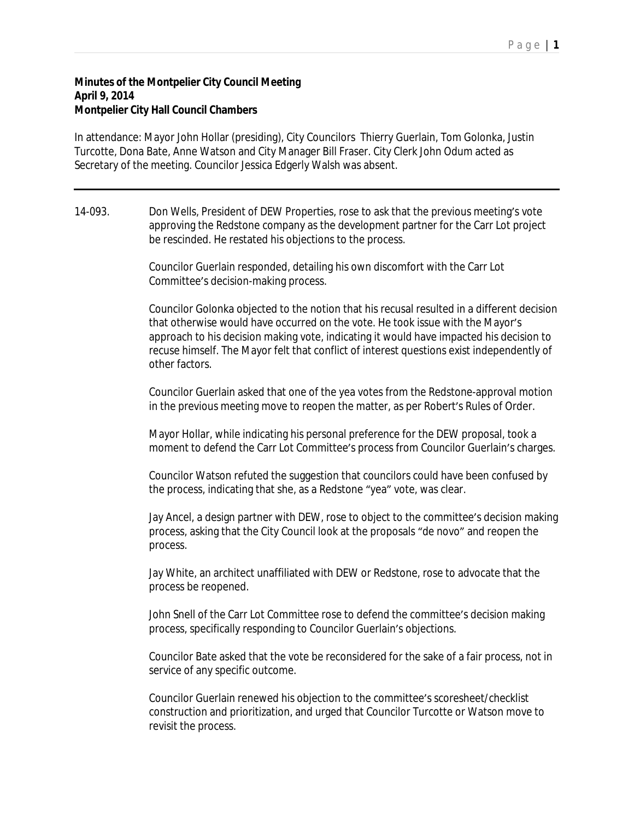## **Minutes of the Montpelier City Council Meeting April 9, 2014 Montpelier City Hall Council Chambers**

In attendance: Mayor John Hollar (presiding), City Councilors Thierry Guerlain, Tom Golonka, Justin Turcotte, Dona Bate, Anne Watson and City Manager Bill Fraser. City Clerk John Odum acted as Secretary of the meeting. Councilor Jessica Edgerly Walsh was absent.

14-093. Don Wells, President of DEW Properties, rose to ask that the previous meeting's vote approving the Redstone company as the development partner for the Carr Lot project be rescinded. He restated his objections to the process.

> Councilor Guerlain responded, detailing his own discomfort with the Carr Lot Committee's decision-making process.

Councilor Golonka objected to the notion that his recusal resulted in a different decision that otherwise would have occurred on the vote. He took issue with the Mayor's approach to his decision making vote, indicating it would have impacted his decision to recuse himself. The Mayor felt that conflict of interest questions exist independently of other factors.

Councilor Guerlain asked that one of the yea votes from the Redstone-approval motion in the previous meeting move to reopen the matter, as per Robert's Rules of Order.

Mayor Hollar, while indicating his personal preference for the DEW proposal, took a moment to defend the Carr Lot Committee's process from Councilor Guerlain's charges.

Councilor Watson refuted the suggestion that councilors could have been confused by the process, indicating that she, as a Redstone "yea" vote, was clear.

Jay Ancel, a design partner with DEW, rose to object to the committee's decision making process, asking that the City Council look at the proposals "de novo" and reopen the process.

Jay White, an architect unaffiliated with DEW or Redstone, rose to advocate that the process be reopened.

John Snell of the Carr Lot Committee rose to defend the committee's decision making process, specifically responding to Councilor Guerlain's objections.

Councilor Bate asked that the vote be reconsidered for the sake of a fair process, not in service of any specific outcome.

Councilor Guerlain renewed his objection to the committee's scoresheet/checklist construction and prioritization, and urged that Councilor Turcotte or Watson move to revisit the process.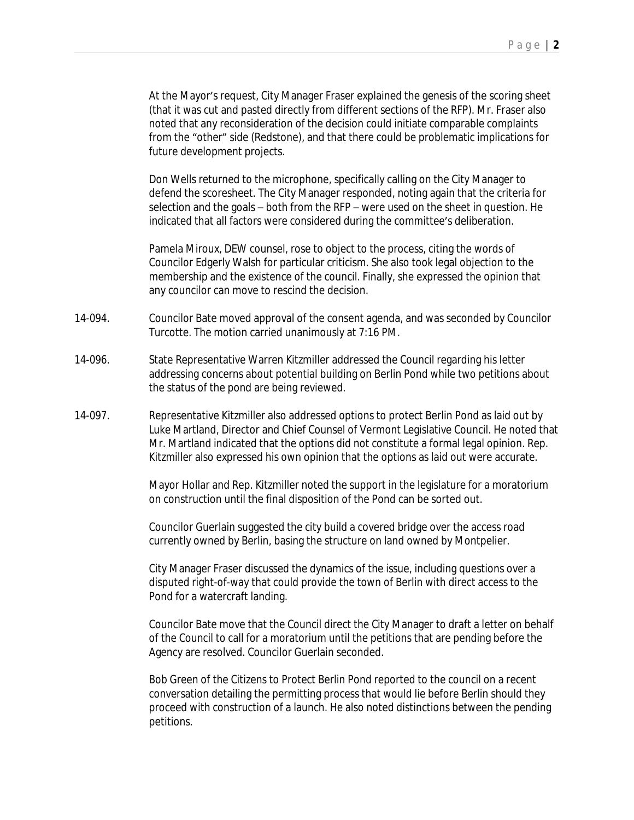At the Mayor's request, City Manager Fraser explained the genesis of the scoring sheet (that it was cut and pasted directly from different sections of the RFP). Mr. Fraser also noted that any reconsideration of the decision could initiate comparable complaints from the "other" side (Redstone), and that there could be problematic implications for future development projects.

Don Wells returned to the microphone, specifically calling on the City Manager to defend the scoresheet. The City Manager responded, noting again that the criteria for selection and the goals – both from the RFP – were used on the sheet in question. He indicated that all factors were considered during the committee's deliberation.

Pamela Miroux, DEW counsel, rose to object to the process, citing the words of Councilor Edgerly Walsh for particular criticism. She also took legal objection to the membership and the existence of the council. Finally, she expressed the opinion that any councilor can move to rescind the decision.

- 14-094. Councilor Bate moved approval of the consent agenda, and was seconded by Councilor Turcotte. The motion carried unanimously at 7:16 PM.
- 14-096. State Representative Warren Kitzmiller addressed the Council regarding his letter addressing concerns about potential building on Berlin Pond while two petitions about the status of the pond are being reviewed.
- 14-097. Representative Kitzmiller also addressed options to protect Berlin Pond as laid out by Luke Martland, Director and Chief Counsel of Vermont Legislative Council. He noted that Mr. Martland indicated that the options did not constitute a formal legal opinion. Rep. Kitzmiller also expressed his own opinion that the options as laid out were accurate.

Mayor Hollar and Rep. Kitzmiller noted the support in the legislature for a moratorium on construction until the final disposition of the Pond can be sorted out.

Councilor Guerlain suggested the city build a covered bridge over the access road currently owned by Berlin, basing the structure on land owned by Montpelier.

City Manager Fraser discussed the dynamics of the issue, including questions over a disputed right-of-way that could provide the town of Berlin with direct access to the Pond for a watercraft landing.

Councilor Bate move that the Council direct the City Manager to draft a letter on behalf of the Council to call for a moratorium until the petitions that are pending before the Agency are resolved. Councilor Guerlain seconded.

Bob Green of the Citizens to Protect Berlin Pond reported to the council on a recent conversation detailing the permitting process that would lie before Berlin should they proceed with construction of a launch. He also noted distinctions between the pending petitions.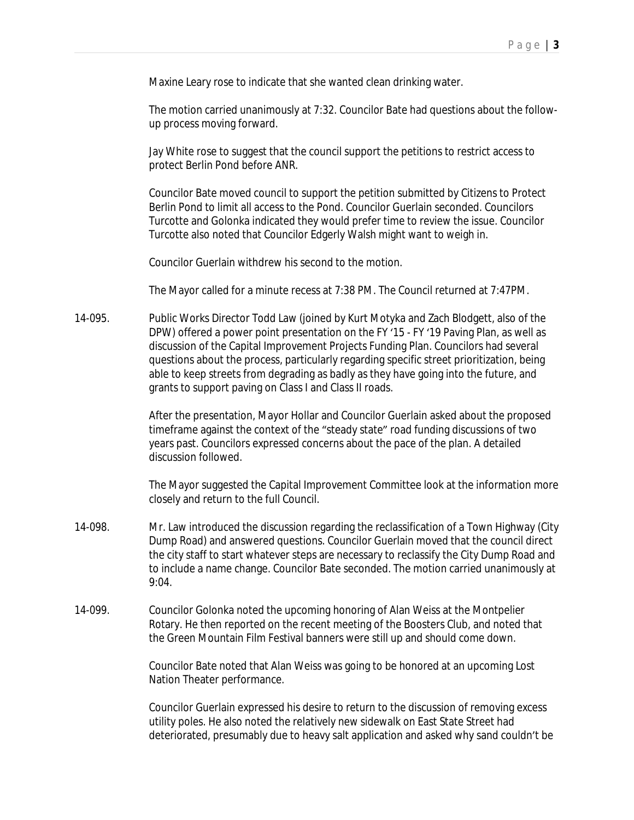Maxine Leary rose to indicate that she wanted clean drinking water.

The motion carried unanimously at 7:32. Councilor Bate had questions about the followup process moving forward.

Jay White rose to suggest that the council support the petitions to restrict access to protect Berlin Pond before ANR.

Councilor Bate moved council to support the petition submitted by Citizens to Protect Berlin Pond to limit all access to the Pond. Councilor Guerlain seconded. Councilors Turcotte and Golonka indicated they would prefer time to review the issue. Councilor Turcotte also noted that Councilor Edgerly Walsh might want to weigh in.

Councilor Guerlain withdrew his second to the motion.

The Mayor called for a minute recess at 7:38 PM. The Council returned at 7:47PM.

14-095. Public Works Director Todd Law (joined by Kurt Motyka and Zach Blodgett, also of the DPW) offered a power point presentation on the FY '15 - FY '19 Paving Plan, as well as discussion of the Capital Improvement Projects Funding Plan. Councilors had several questions about the process, particularly regarding specific street prioritization, being able to keep streets from degrading as badly as they have going into the future, and grants to support paving on Class I and Class II roads.

> After the presentation, Mayor Hollar and Councilor Guerlain asked about the proposed timeframe against the context of the "steady state" road funding discussions of two years past. Councilors expressed concerns about the pace of the plan. A detailed discussion followed.

The Mayor suggested the Capital Improvement Committee look at the information more closely and return to the full Council.

- 14-098. Mr. Law introduced the discussion regarding the reclassification of a Town Highway (City Dump Road) and answered questions. Councilor Guerlain moved that the council direct the city staff to start whatever steps are necessary to reclassify the City Dump Road and to include a name change. Councilor Bate seconded. The motion carried unanimously at 9:04.
- 14-099. Councilor Golonka noted the upcoming honoring of Alan Weiss at the Montpelier Rotary. He then reported on the recent meeting of the Boosters Club, and noted that the Green Mountain Film Festival banners were still up and should come down.

Councilor Bate noted that Alan Weiss was going to be honored at an upcoming Lost Nation Theater performance.

Councilor Guerlain expressed his desire to return to the discussion of removing excess utility poles. He also noted the relatively new sidewalk on East State Street had deteriorated, presumably due to heavy salt application and asked why sand couldn't be